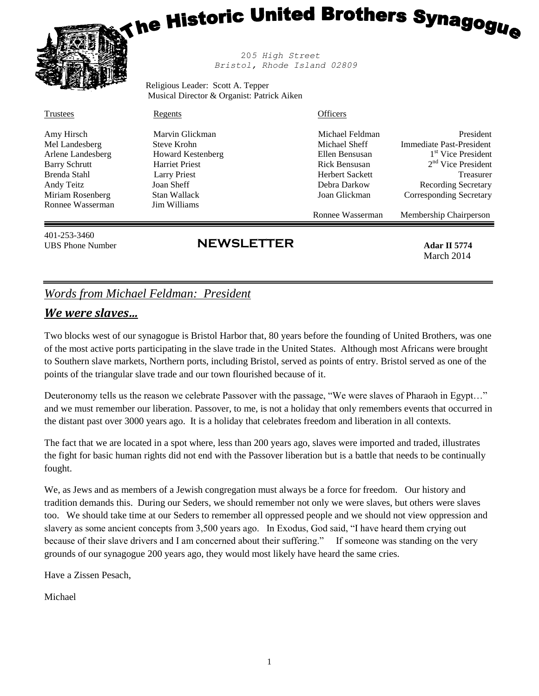# **The Historic United Brothers Synagogu<sub>e</sub>**



 20*5 High Street Bristol, Rhode Island 02809*

Religious Leader: Scott A. Tepper Musical Director & Organist: Patrick Aiken

| Trustees | Regents | <b>Officers</b> |
|----------|---------|-----------------|
|          |         |                 |

Arlene Landesberg **Howard Kestenberg** Ellen Bensusan Barry Schrutt **Harriet Priest** Rick Bensusan 2014 Ronnee Wasserman Jim Williams

Amy Hirsch Marvin Glickman Michael Feldman President Mel Landesberg Steve Krohn Steve Krohn Michael Sheff Immediate Past-President 1<sup>st</sup> Vice President 2<sup>nd</sup> Vice President Brenda Stahl **Larry Priest Larry Priest** Herbert Sackett **Herbert Sackett** Treasurer Andy Teitz **Ioan Sheff** Joan Sheff Debra Darkow Recording Secretary Miriam Rosenberg Stan Wallack Joan Glickman Corresponding Secretary

Ronnee Wasserman Membership Chairperson

401-253-3460

## UBS Phone Number **Adar II 5774 NEWSLETTER**

# March 2014

### *Words from Michael Feldman: President*

#### *We were slaves…*

Two blocks west of our synagogue is Bristol Harbor that, 80 years before the founding of United Brothers, was one of the most active ports participating in the slave trade in the United States. Although most Africans were brought to Southern slave markets, Northern ports, including Bristol, served as points of entry. Bristol served as one of the points of the triangular slave trade and our town flourished because of it.

Deuteronomy tells us the reason we celebrate Passover with the passage, "We were slaves of Pharaoh in Egypt…" and we must remember our liberation. Passover, to me, is not a holiday that only remembers events that occurred in the distant past over 3000 years ago. It is a holiday that celebrates freedom and liberation in all contexts.

The fact that we are located in a spot where, less than 200 years ago, slaves were imported and traded, illustrates the fight for basic human rights did not end with the Passover liberation but is a battle that needs to be continually fought.

We, as Jews and as members of a Jewish congregation must always be a force for freedom. Our history and tradition demands this. During our Seders, we should remember not only we were slaves, but others were slaves too. We should take time at our Seders to remember all oppressed people and we should not view oppression and slavery as some ancient concepts from 3,500 years ago. In Exodus, God said, "I have heard them crying out because of their slave drivers and I am concerned about their suffering." If someone was standing on the very grounds of our synagogue 200 years ago, they would most likely have heard the same cries.

Have a Zissen Pesach,

Michael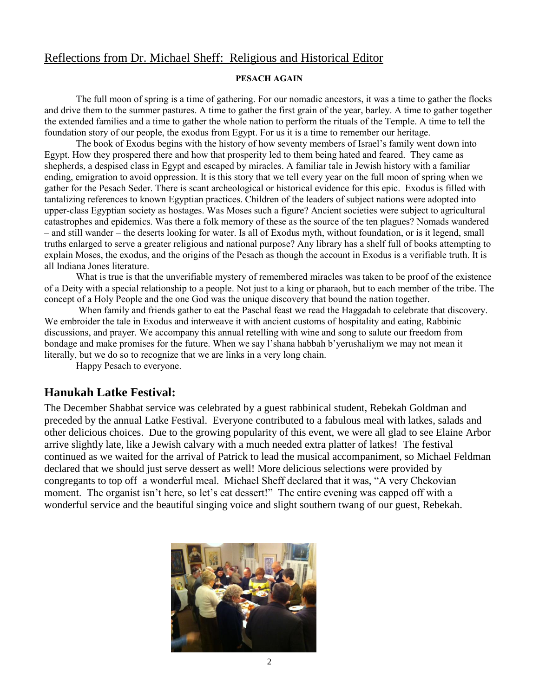#### Reflections from Dr. Michael Sheff: Religious and Historical Editor

#### **PESACH AGAIN**

The full moon of spring is a time of gathering. For our nomadic ancestors, it was a time to gather the flocks and drive them to the summer pastures. A time to gather the first grain of the year, barley. A time to gather together the extended families and a time to gather the whole nation to perform the rituals of the Temple. A time to tell the foundation story of our people, the exodus from Egypt. For us it is a time to remember our heritage.

The book of Exodus begins with the history of how seventy members of Israel's family went down into Egypt. How they prospered there and how that prosperity led to them being hated and feared. They came as shepherds, a despised class in Egypt and escaped by miracles. A familiar tale in Jewish history with a familiar ending, emigration to avoid oppression. It is this story that we tell every year on the full moon of spring when we gather for the Pesach Seder. There is scant archeological or historical evidence for this epic. Exodus is filled with tantalizing references to known Egyptian practices. Children of the leaders of subject nations were adopted into upper-class Egyptian society as hostages. Was Moses such a figure? Ancient societies were subject to agricultural catastrophes and epidemics. Was there a folk memory of these as the source of the ten plagues? Nomads wandered – and still wander – the deserts looking for water. Is all of Exodus myth, without foundation, or is it legend, small truths enlarged to serve a greater religious and national purpose? Any library has a shelf full of books attempting to explain Moses, the exodus, and the origins of the Pesach as though the account in Exodus is a verifiable truth. It is all Indiana Jones literature.

What is true is that the unverifiable mystery of remembered miracles was taken to be proof of the existence of a Deity with a special relationship to a people. Not just to a king or pharaoh, but to each member of the tribe. The concept of a Holy People and the one God was the unique discovery that bound the nation together.

When family and friends gather to eat the Paschal feast we read the Haggadah to celebrate that discovery. We embroider the tale in Exodus and interweave it with ancient customs of hospitality and eating, Rabbinic discussions, and prayer. We accompany this annual retelling with wine and song to salute our freedom from bondage and make promises for the future. When we say l'shana habbah b'yerushaliym we may not mean it literally, but we do so to recognize that we are links in a very long chain.

Happy Pesach to everyone.

#### **Hanukah Latke Festival:**

The December Shabbat service was celebrated by a guest rabbinical student, Rebekah Goldman and preceded by the annual Latke Festival. Everyone contributed to a fabulous meal with latkes, salads and other delicious choices. Due to the growing popularity of this event, we were all glad to see Elaine Arbor arrive slightly late, like a Jewish calvary with a much needed extra platter of latkes! The festival continued as we waited for the arrival of Patrick to lead the musical accompaniment, so Michael Feldman declared that we should just serve dessert as well! More delicious selections were provided by congregants to top off a wonderful meal. Michael Sheff declared that it was, "A very Chekovian moment. The organist isn't here, so let's eat dessert!" The entire evening was capped off with a wonderful service and the beautiful singing voice and slight southern twang of our guest, Rebekah.

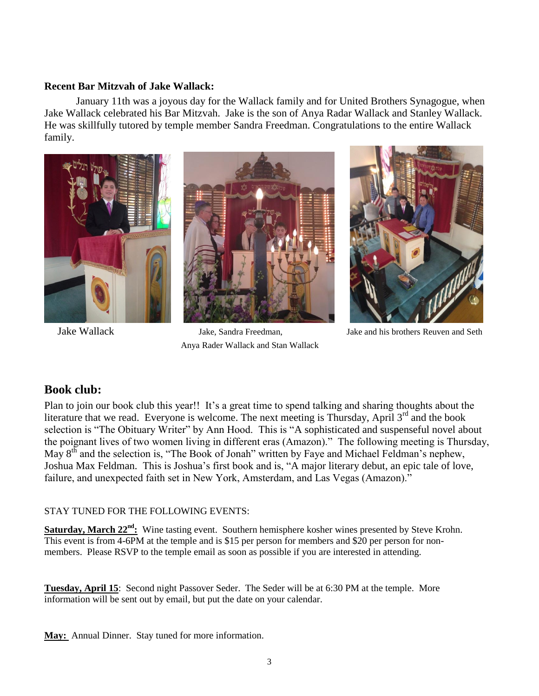#### **Recent Bar Mitzvah of Jake Wallack:**

January 11th was a joyous day for the Wallack family and for United Brothers Synagogue, when Jake Wallack celebrated his Bar Mitzvah. Jake is the son of Anya Radar Wallack and Stanley Wallack. He was skillfully tutored by temple member Sandra Freedman. Congratulations to the entire Wallack family.



 Jake Wallack Jake, Sandra Freedman, Jake and his brothers Reuven and Seth Anya Rader Wallack and Stan Wallack

#### **Book club:**

Plan to join our book club this year!! It's a great time to spend talking and sharing thoughts about the literature that we read. Everyone is welcome. The next meeting is Thursday, April  $3<sup>rd</sup>$  and the book selection is "The Obituary Writer" by Ann Hood. This is "A sophisticated and suspenseful novel about the poignant lives of two women living in different eras (Amazon)." The following meeting is Thursday, May  $8<sup>th</sup>$  and the selection is, "The Book of Jonah" written by Faye and Michael Feldman's nephew, Joshua Max Feldman. This is Joshua's first book and is, "A major literary debut, an epic tale of love, failure, and unexpected faith set in New York, Amsterdam, and Las Vegas (Amazon)."

#### STAY TUNED FOR THE FOLLOWING EVENTS:

**Saturday, March 22<sup>nd</sup>:** Wine tasting event. Southern hemisphere kosher wines presented by Steve Krohn. This event is from 4-6PM at the temple and is \$15 per person for members and \$20 per person for nonmembers. Please RSVP to the temple email as soon as possible if you are interested in attending.

**Tuesday, April 15**: Second night Passover Seder. The Seder will be at 6:30 PM at the temple. More information will be sent out by email, but put the date on your calendar.

**May:** Annual Dinner. Stay tuned for more information.